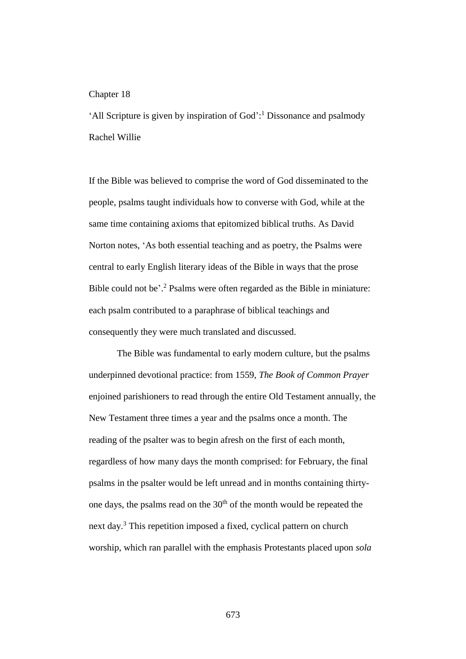## Chapter 18

'All Scripture is given by inspiration of God': <sup>1</sup> Dissonance and psalmody Rachel Willie

If the Bible was believed to comprise the word of God disseminated to the people, psalms taught individuals how to converse with God, while at the same time containing axioms that epitomized biblical truths. As David Norton notes, 'As both essential teaching and as poetry, the Psalms were central to early English literary ideas of the Bible in ways that the prose Bible could not be'. <sup>2</sup> Psalms were often regarded as the Bible in miniature: each psalm contributed to a paraphrase of biblical teachings and consequently they were much translated and discussed.

The Bible was fundamental to early modern culture, but the psalms underpinned devotional practice: from 1559, *The Book of Common Prayer*  enjoined parishioners to read through the entire Old Testament annually, the New Testament three times a year and the psalms once a month. The reading of the psalter was to begin afresh on the first of each month, regardless of how many days the month comprised: for February, the final psalms in the psalter would be left unread and in months containing thirtyone days, the psalms read on the 30<sup>th</sup> of the month would be repeated the next day.<sup>3</sup> This repetition imposed a fixed, cyclical pattern on church worship, which ran parallel with the emphasis Protestants placed upon *sola*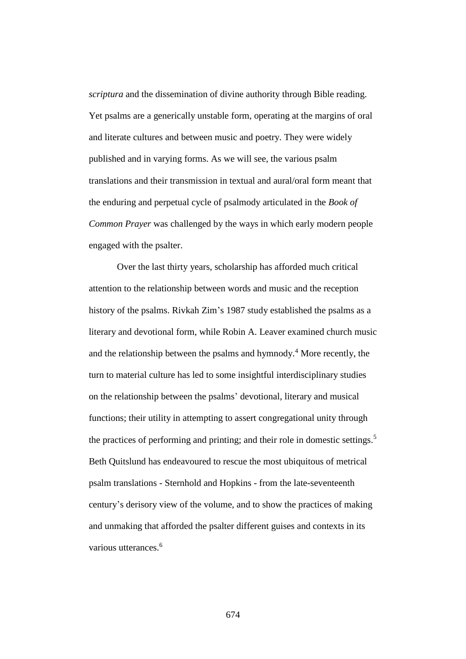*scriptura* and the dissemination of divine authority through Bible reading. Yet psalms are a generically unstable form, operating at the margins of oral and literate cultures and between music and poetry. They were widely published and in varying forms. As we will see, the various psalm translations and their transmission in textual and aural/oral form meant that the enduring and perpetual cycle of psalmody articulated in the *Book of Common Prayer* was challenged by the ways in which early modern people engaged with the psalter.

Over the last thirty years, scholarship has afforded much critical attention to the relationship between words and music and the reception history of the psalms. Rivkah Zim's 1987 study established the psalms as a literary and devotional form, while Robin A. Leaver examined church music and the relationship between the psalms and hymnody.<sup>4</sup> More recently, the turn to material culture has led to some insightful interdisciplinary studies on the relationship between the psalms' devotional, literary and musical functions; their utility in attempting to assert congregational unity through the practices of performing and printing; and their role in domestic settings.<sup>5</sup> Beth Quitslund has endeavoured to rescue the most ubiquitous of metrical psalm translations - Sternhold and Hopkins - from the late-seventeenth century's derisory view of the volume, and to show the practices of making and unmaking that afforded the psalter different guises and contexts in its various utterances.<sup>6</sup>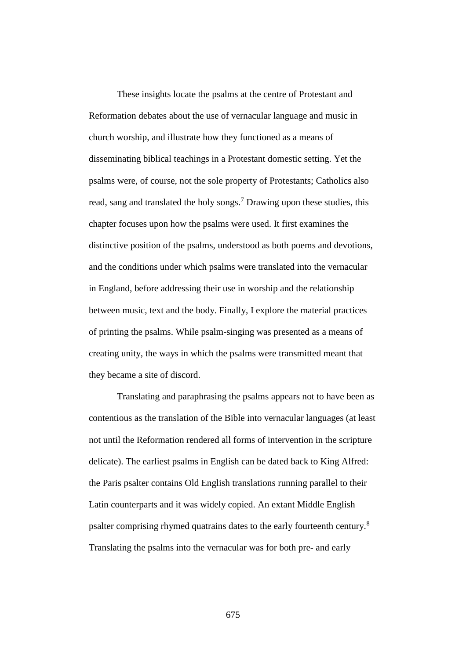These insights locate the psalms at the centre of Protestant and Reformation debates about the use of vernacular language and music in church worship, and illustrate how they functioned as a means of disseminating biblical teachings in a Protestant domestic setting. Yet the psalms were, of course, not the sole property of Protestants; Catholics also read, sang and translated the holy songs.<sup>7</sup> Drawing upon these studies, this chapter focuses upon how the psalms were used. It first examines the distinctive position of the psalms, understood as both poems and devotions, and the conditions under which psalms were translated into the vernacular in England, before addressing their use in worship and the relationship between music, text and the body. Finally, I explore the material practices of printing the psalms. While psalm-singing was presented as a means of creating unity, the ways in which the psalms were transmitted meant that they became a site of discord.

Translating and paraphrasing the psalms appears not to have been as contentious as the translation of the Bible into vernacular languages (at least not until the Reformation rendered all forms of intervention in the scripture delicate). The earliest psalms in English can be dated back to King Alfred: the Paris psalter contains Old English translations running parallel to their Latin counterparts and it was widely copied. An extant Middle English psalter comprising rhymed quatrains dates to the early fourteenth century.<sup>8</sup> Translating the psalms into the vernacular was for both pre- and early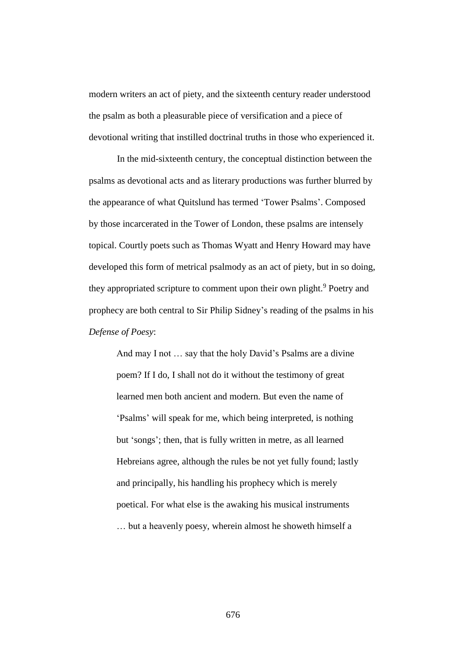modern writers an act of piety, and the sixteenth century reader understood the psalm as both a pleasurable piece of versification and a piece of devotional writing that instilled doctrinal truths in those who experienced it.

In the mid-sixteenth century, the conceptual distinction between the psalms as devotional acts and as literary productions was further blurred by the appearance of what Quitslund has termed 'Tower Psalms'. Composed by those incarcerated in the Tower of London, these psalms are intensely topical. Courtly poets such as Thomas Wyatt and Henry Howard may have developed this form of metrical psalmody as an act of piety, but in so doing, they appropriated scripture to comment upon their own plight.<sup>9</sup> Poetry and prophecy are both central to Sir Philip Sidney's reading of the psalms in his *Defense of Poesy*:

And may I not … say that the holy David's Psalms are a divine poem? If I do, I shall not do it without the testimony of great learned men both ancient and modern. But even the name of 'Psalms' will speak for me, which being interpreted, is nothing but 'songs'; then, that is fully written in metre, as all learned Hebreians agree, although the rules be not yet fully found; lastly and principally, his handling his prophecy which is merely poetical. For what else is the awaking his musical instruments … but a heavenly poesy, wherein almost he showeth himself a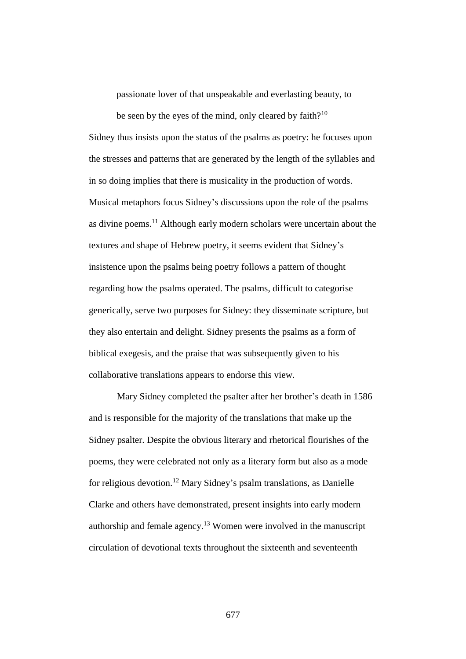passionate lover of that unspeakable and everlasting beauty, to

be seen by the eyes of the mind, only cleared by  $f$ aith $?^{10}$ Sidney thus insists upon the status of the psalms as poetry: he focuses upon the stresses and patterns that are generated by the length of the syllables and in so doing implies that there is musicality in the production of words. Musical metaphors focus Sidney's discussions upon the role of the psalms as divine poems.<sup>11</sup> Although early modern scholars were uncertain about the textures and shape of Hebrew poetry, it seems evident that Sidney's insistence upon the psalms being poetry follows a pattern of thought regarding how the psalms operated. The psalms, difficult to categorise generically, serve two purposes for Sidney: they disseminate scripture, but they also entertain and delight. Sidney presents the psalms as a form of biblical exegesis, and the praise that was subsequently given to his collaborative translations appears to endorse this view.

Mary Sidney completed the psalter after her brother's death in 1586 and is responsible for the majority of the translations that make up the Sidney psalter. Despite the obvious literary and rhetorical flourishes of the poems, they were celebrated not only as a literary form but also as a mode for religious devotion.<sup>12</sup> Mary Sidney's psalm translations, as Danielle Clarke and others have demonstrated, present insights into early modern authorship and female agency.<sup>13</sup> Women were involved in the manuscript circulation of devotional texts throughout the sixteenth and seventeenth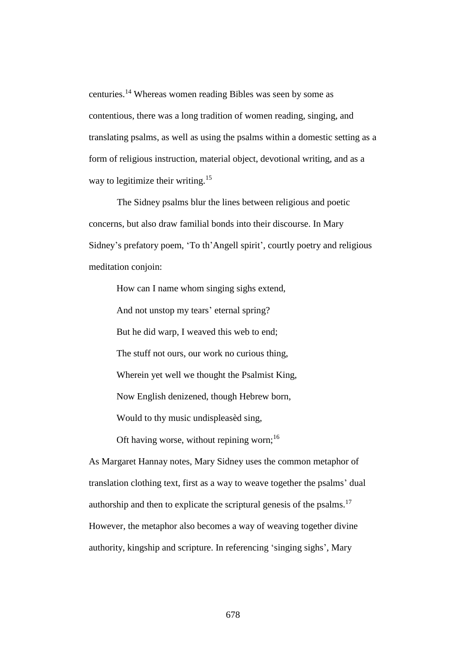centuries.<sup>14</sup> Whereas women reading Bibles was seen by some as contentious, there was a long tradition of women reading, singing, and translating psalms, as well as using the psalms within a domestic setting as a form of religious instruction, material object, devotional writing, and as a way to legitimize their writing.<sup>15</sup>

The Sidney psalms blur the lines between religious and poetic concerns, but also draw familial bonds into their discourse. In Mary Sidney's prefatory poem, 'To th'Angell spirit', courtly poetry and religious meditation conjoin:

How can I name whom singing sighs extend, And not unstop my tears' eternal spring? But he did warp, I weaved this web to end; The stuff not ours, our work no curious thing, Wherein yet well we thought the Psalmist King, Now English denizened, though Hebrew born, Would to thy music undispleasèd sing, Oft having worse, without repining worn; $^{16}$ 

As Margaret Hannay notes, Mary Sidney uses the common metaphor of translation clothing text, first as a way to weave together the psalms' dual authorship and then to explicate the scriptural genesis of the psalms. $17$ However, the metaphor also becomes a way of weaving together divine authority, kingship and scripture. In referencing 'singing sighs', Mary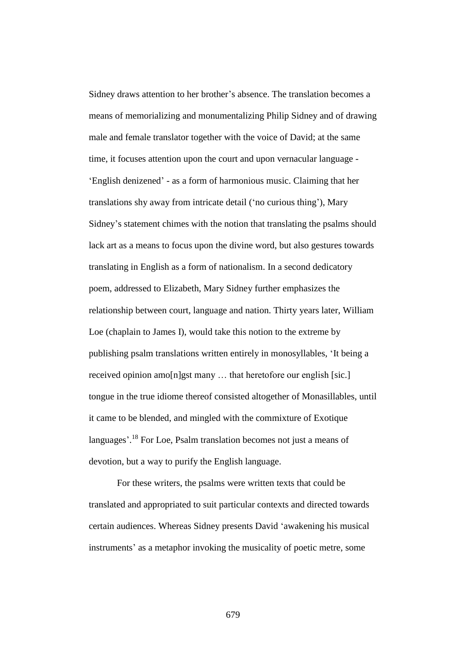Sidney draws attention to her brother's absence. The translation becomes a means of memorializing and monumentalizing Philip Sidney and of drawing male and female translator together with the voice of David; at the same time, it focuses attention upon the court and upon vernacular language - 'English denizened' - as a form of harmonious music. Claiming that her translations shy away from intricate detail ('no curious thing'), Mary Sidney's statement chimes with the notion that translating the psalms should lack art as a means to focus upon the divine word, but also gestures towards translating in English as a form of nationalism. In a second dedicatory poem, addressed to Elizabeth, Mary Sidney further emphasizes the relationship between court, language and nation. Thirty years later, William Loe (chaplain to James I), would take this notion to the extreme by publishing psalm translations written entirely in monosyllables, 'It being a received opinion amo[n]gst many ... that heretofore our english [sic.] tongue in the true idiome thereof consisted altogether of Monasillables, until it came to be blended, and mingled with the commixture of Exotique languages'.<sup>18</sup> For Loe, Psalm translation becomes not just a means of devotion, but a way to purify the English language.

For these writers, the psalms were written texts that could be translated and appropriated to suit particular contexts and directed towards certain audiences. Whereas Sidney presents David 'awakening his musical instruments' as a metaphor invoking the musicality of poetic metre, some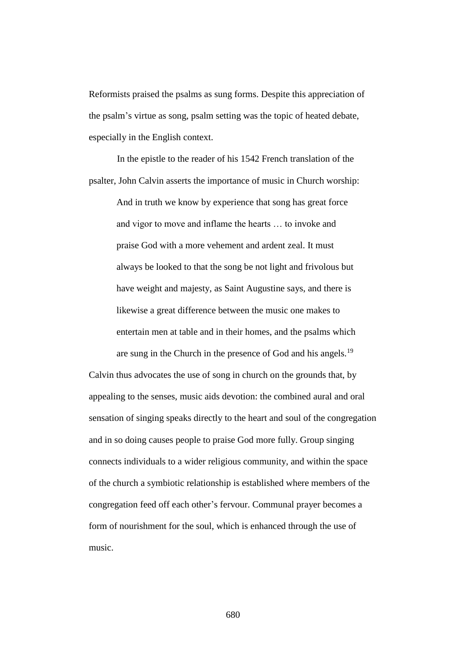Reformists praised the psalms as sung forms. Despite this appreciation of the psalm's virtue as song, psalm setting was the topic of heated debate, especially in the English context.

In the epistle to the reader of his 1542 French translation of the psalter, John Calvin asserts the importance of music in Church worship:

And in truth we know by experience that song has great force and vigor to move and inflame the hearts … to invoke and praise God with a more vehement and ardent zeal. It must always be looked to that the song be not light and frivolous but have weight and majesty, as Saint Augustine says, and there is likewise a great difference between the music one makes to entertain men at table and in their homes, and the psalms which are sung in the Church in the presence of God and his angels.<sup>19</sup>

Calvin thus advocates the use of song in church on the grounds that, by appealing to the senses, music aids devotion: the combined aural and oral sensation of singing speaks directly to the heart and soul of the congregation and in so doing causes people to praise God more fully. Group singing connects individuals to a wider religious community, and within the space of the church a symbiotic relationship is established where members of the congregation feed off each other's fervour. Communal prayer becomes a form of nourishment for the soul, which is enhanced through the use of music.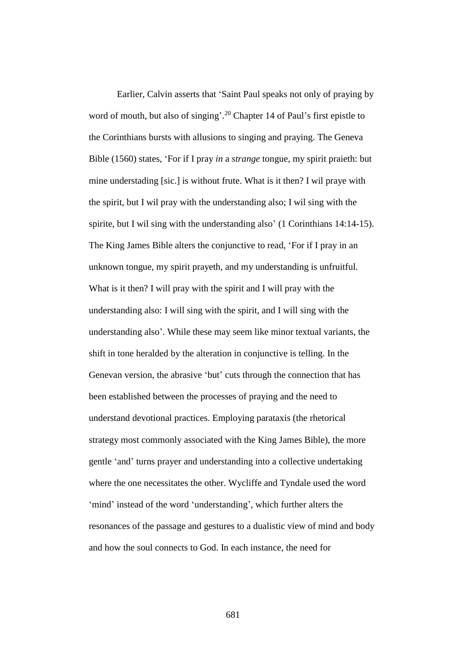Earlier, Calvin asserts that 'Saint Paul speaks not only of praying by word of mouth, but also of singing'.<sup>20</sup> Chapter 14 of Paul's first epistle to the Corinthians bursts with allusions to singing and praying. The Geneva Bible (1560) states, 'For if I pray *in* a *strange* tongue, my spirit praieth: but mine understading [sic.] is without frute. What is it then? I wil praye with the spirit, but I wil pray with the understanding also; I wil sing with the spirite, but I wil sing with the understanding also' (1 Corinthians 14:14-15). The King James Bible alters the conjunctive to read, 'For if I pray in an unknown tongue, my spirit prayeth, and my understanding is unfruitful. What is it then? I will pray with the spirit and I will pray with the understanding also: I will sing with the spirit, and I will sing with the understanding also'. While these may seem like minor textual variants, the shift in tone heralded by the alteration in conjunctive is telling. In the Genevan version, the abrasive 'but' cuts through the connection that has been established between the processes of praying and the need to understand devotional practices. Employing parataxis (the rhetorical strategy most commonly associated with the King James Bible), the more gentle 'and' turns prayer and understanding into a collective undertaking where the one necessitates the other. Wycliffe and Tyndale used the word 'mind' instead of the word 'understanding', which further alters the resonances of the passage and gestures to a dualistic view of mind and body and how the soul connects to God. In each instance, the need for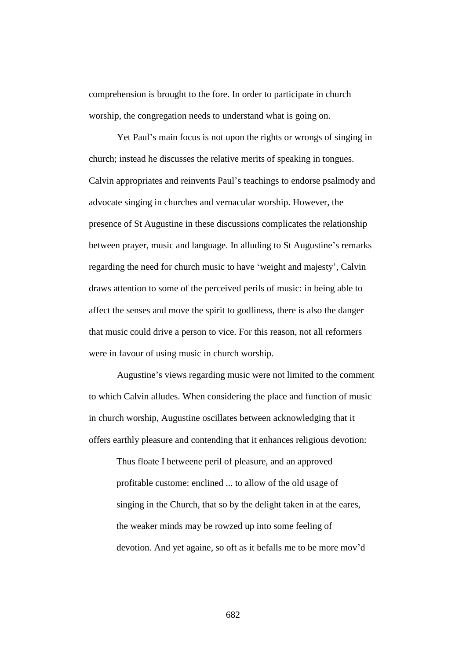comprehension is brought to the fore. In order to participate in church worship, the congregation needs to understand what is going on.

Yet Paul's main focus is not upon the rights or wrongs of singing in church; instead he discusses the relative merits of speaking in tongues. Calvin appropriates and reinvents Paul's teachings to endorse psalmody and advocate singing in churches and vernacular worship. However, the presence of St Augustine in these discussions complicates the relationship between prayer, music and language. In alluding to St Augustine's remarks regarding the need for church music to have 'weight and majesty', Calvin draws attention to some of the perceived perils of music: in being able to affect the senses and move the spirit to godliness, there is also the danger that music could drive a person to vice. For this reason, not all reformers were in favour of using music in church worship.

Augustine's views regarding music were not limited to the comment to which Calvin alludes. When considering the place and function of music in church worship, Augustine oscillates between acknowledging that it offers earthly pleasure and contending that it enhances religious devotion:

Thus floate I betweene peril of pleasure, and an approved profitable custome: enclined ... to allow of the old usage of singing in the Church, that so by the delight taken in at the eares, the weaker minds may be rowzed up into some feeling of devotion. And yet againe, so oft as it befalls me to be more mov'd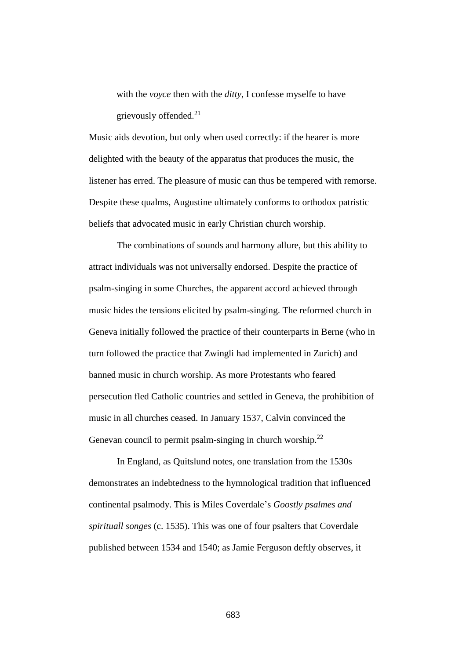with the *voyce* then with the *ditty*, I confesse myselfe to have grievously offended. $21$ 

Music aids devotion, but only when used correctly: if the hearer is more delighted with the beauty of the apparatus that produces the music, the listener has erred. The pleasure of music can thus be tempered with remorse. Despite these qualms, Augustine ultimately conforms to orthodox patristic beliefs that advocated music in early Christian church worship.

The combinations of sounds and harmony allure, but this ability to attract individuals was not universally endorsed. Despite the practice of psalm-singing in some Churches, the apparent accord achieved through music hides the tensions elicited by psalm-singing. The reformed church in Geneva initially followed the practice of their counterparts in Berne (who in turn followed the practice that Zwingli had implemented in Zurich) and banned music in church worship. As more Protestants who feared persecution fled Catholic countries and settled in Geneva, the prohibition of music in all churches ceased. In January 1537, Calvin convinced the Genevan council to permit psalm-singing in church worship. $^{22}$ 

In England, as Quitslund notes, one translation from the 1530s demonstrates an indebtedness to the hymnological tradition that influenced continental psalmody. This is Miles Coverdale's *Goostly psalmes and spirituall songes* (c. 1535). This was one of four psalters that Coverdale published between 1534 and 1540; as Jamie Ferguson deftly observes, it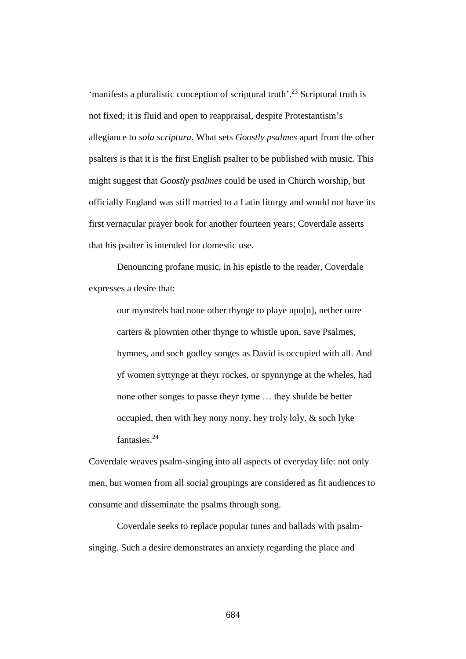'manifests a pluralistic conception of scriptural truth'. <sup>23</sup> Scriptural truth is not fixed; it is fluid and open to reappraisal, despite Protestantism's allegiance to *sola scriptura*. What sets *Goostly psalmes* apart from the other psalters is that it is the first English psalter to be published with music. This might suggest that *Goostly psalmes* could be used in Church worship, but officially England was still married to a Latin liturgy and would not have its first vernacular prayer book for another fourteen years; Coverdale asserts that his psalter is intended for domestic use.

Denouncing profane music, in his epistle to the reader, Coverdale expresses a desire that:

our mynstrels had none other thynge to playe upo[n], nether oure carters & plowmen other thynge to whistle upon, save Psalmes, hymnes, and soch godley songes as David is occupied with all. And yf women syttynge at theyr rockes, or spynnynge at the wheles, had none other songes to passe theyr tyme … they shulde be better occupied, then with hey nony nony, hey troly loly, & soch lyke fantasies.<sup>24</sup>

Coverdale weaves psalm-singing into all aspects of everyday life: not only men, but women from all social groupings are considered as fit audiences to consume and disseminate the psalms through song.

Coverdale seeks to replace popular tunes and ballads with psalmsinging. Such a desire demonstrates an anxiety regarding the place and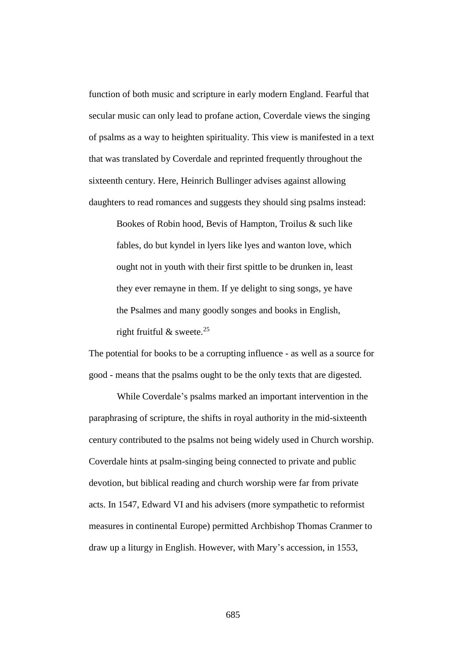function of both music and scripture in early modern England. Fearful that secular music can only lead to profane action, Coverdale views the singing of psalms as a way to heighten spirituality. This view is manifested in a text that was translated by Coverdale and reprinted frequently throughout the sixteenth century. Here, Heinrich Bullinger advises against allowing daughters to read romances and suggests they should sing psalms instead:

Bookes of Robin hood, Bevis of Hampton, Troilus & such like fables, do but kyndel in lyers like lyes and wanton love, which ought not in youth with their first spittle to be drunken in, least they ever remayne in them. If ye delight to sing songs, ye have the Psalmes and many goodly songes and books in English,

right fruitful  $\&$  sweete.<sup>25</sup>

The potential for books to be a corrupting influence - as well as a source for good - means that the psalms ought to be the only texts that are digested.

While Coverdale's psalms marked an important intervention in the paraphrasing of scripture, the shifts in royal authority in the mid-sixteenth century contributed to the psalms not being widely used in Church worship. Coverdale hints at psalm-singing being connected to private and public devotion, but biblical reading and church worship were far from private acts. In 1547, Edward VI and his advisers (more sympathetic to reformist measures in continental Europe) permitted Archbishop Thomas Cranmer to draw up a liturgy in English. However, with Mary's accession, in 1553,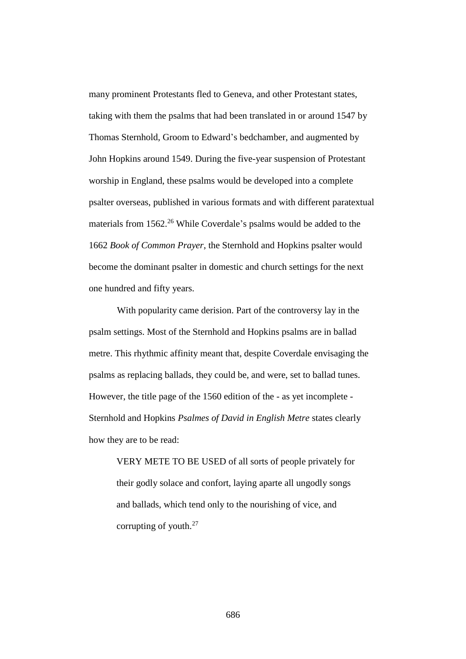many prominent Protestants fled to Geneva, and other Protestant states, taking with them the psalms that had been translated in or around 1547 by Thomas Sternhold, Groom to Edward's bedchamber, and augmented by John Hopkins around 1549. During the five-year suspension of Protestant worship in England, these psalms would be developed into a complete psalter overseas, published in various formats and with different paratextual materials from 1562.<sup>26</sup> While Coverdale's psalms would be added to the 1662 *Book of Common Prayer*, the Sternhold and Hopkins psalter would become the dominant psalter in domestic and church settings for the next one hundred and fifty years.

With popularity came derision. Part of the controversy lay in the psalm settings. Most of the Sternhold and Hopkins psalms are in ballad metre. This rhythmic affinity meant that, despite Coverdale envisaging the psalms as replacing ballads, they could be, and were, set to ballad tunes. However, the title page of the 1560 edition of the - as yet incomplete - Sternhold and Hopkins *Psalmes of David in English Metre* states clearly how they are to be read:

VERY METE TO BE USED of all sorts of people privately for their godly solace and confort, laying aparte all ungodly songs and ballads, which tend only to the nourishing of vice, and corrupting of youth.<sup>27</sup>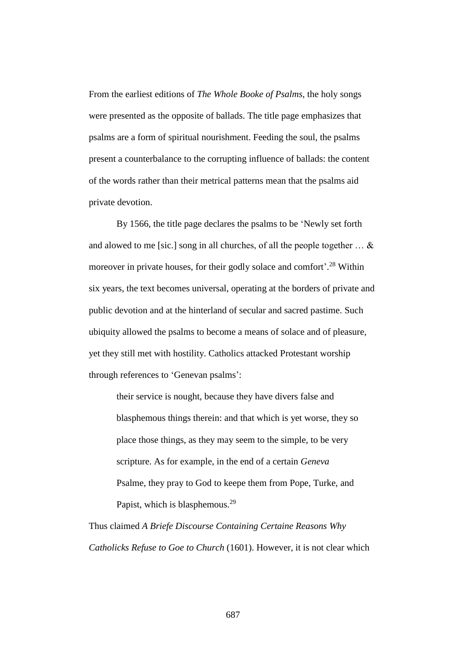From the earliest editions of *The Whole Booke of Psalms*, the holy songs were presented as the opposite of ballads. The title page emphasizes that psalms are a form of spiritual nourishment. Feeding the soul, the psalms present a counterbalance to the corrupting influence of ballads: the content of the words rather than their metrical patterns mean that the psalms aid private devotion.

By 1566, the title page declares the psalms to be 'Newly set forth and alowed to me [sic.] song in all churches, of all the people together  $\dots \&$ moreover in private houses, for their godly solace and comfort'.<sup>28</sup> Within six years, the text becomes universal, operating at the borders of private and public devotion and at the hinterland of secular and sacred pastime. Such ubiquity allowed the psalms to become a means of solace and of pleasure, yet they still met with hostility. Catholics attacked Protestant worship through references to 'Genevan psalms':

their service is nought, because they have divers false and blasphemous things therein: and that which is yet worse, they so place those things, as they may seem to the simple, to be very scripture. As for example, in the end of a certain *Geneva*  Psalme, they pray to God to keepe them from Pope, Turke, and Papist, which is blasphemous.<sup>29</sup>

Thus claimed *A Briefe Discourse Containing Certaine Reasons Why Catholicks Refuse to Goe to Church* (1601). However, it is not clear which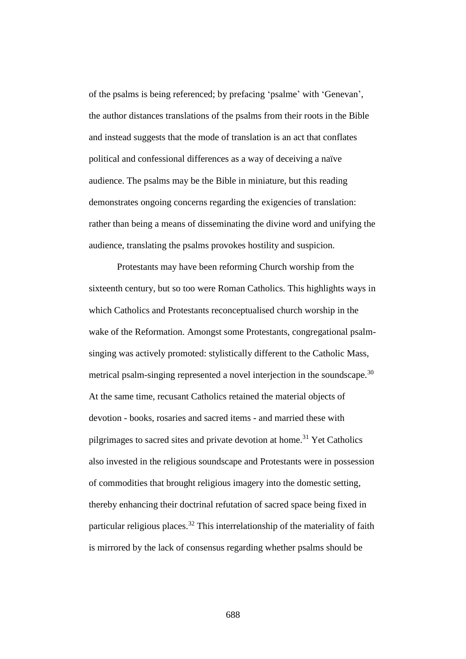of the psalms is being referenced; by prefacing 'psalme' with 'Genevan', the author distances translations of the psalms from their roots in the Bible and instead suggests that the mode of translation is an act that conflates political and confessional differences as a way of deceiving a naïve audience. The psalms may be the Bible in miniature, but this reading demonstrates ongoing concerns regarding the exigencies of translation: rather than being a means of disseminating the divine word and unifying the audience, translating the psalms provokes hostility and suspicion.

Protestants may have been reforming Church worship from the sixteenth century, but so too were Roman Catholics. This highlights ways in which Catholics and Protestants reconceptualised church worship in the wake of the Reformation. Amongst some Protestants, congregational psalmsinging was actively promoted: stylistically different to the Catholic Mass, metrical psalm-singing represented a novel interjection in the soundscape.<sup>30</sup> At the same time, recusant Catholics retained the material objects of devotion - books, rosaries and sacred items - and married these with pilgrimages to sacred sites and private devotion at home.<sup>31</sup> Yet Catholics also invested in the religious soundscape and Protestants were in possession of commodities that brought religious imagery into the domestic setting, thereby enhancing their doctrinal refutation of sacred space being fixed in particular religious places.<sup>32</sup> This interrelationship of the materiality of faith is mirrored by the lack of consensus regarding whether psalms should be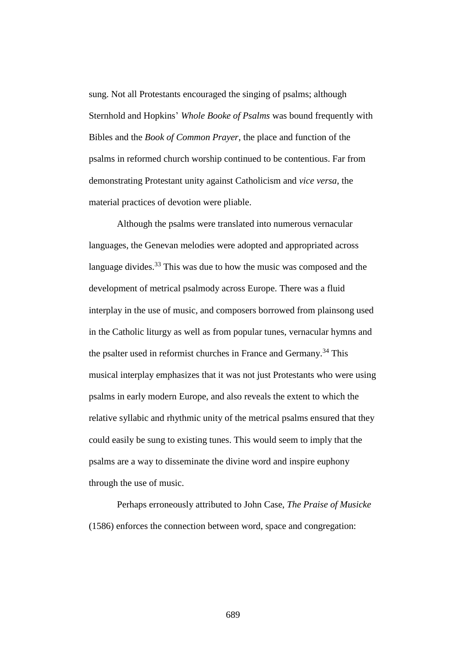sung. Not all Protestants encouraged the singing of psalms; although Sternhold and Hopkins' *Whole Booke of Psalms* was bound frequently with Bibles and the *Book of Common Prayer*, the place and function of the psalms in reformed church worship continued to be contentious. Far from demonstrating Protestant unity against Catholicism and *vice versa*, the material practices of devotion were pliable.

Although the psalms were translated into numerous vernacular languages, the Genevan melodies were adopted and appropriated across language divides.<sup>33</sup> This was due to how the music was composed and the development of metrical psalmody across Europe. There was a fluid interplay in the use of music, and composers borrowed from plainsong used in the Catholic liturgy as well as from popular tunes, vernacular hymns and the psalter used in reformist churches in France and Germany.<sup>34</sup> This musical interplay emphasizes that it was not just Protestants who were using psalms in early modern Europe, and also reveals the extent to which the relative syllabic and rhythmic unity of the metrical psalms ensured that they could easily be sung to existing tunes. This would seem to imply that the psalms are a way to disseminate the divine word and inspire euphony through the use of music.

Perhaps erroneously attributed to John Case, *The Praise of Musicke* (1586) enforces the connection between word, space and congregation: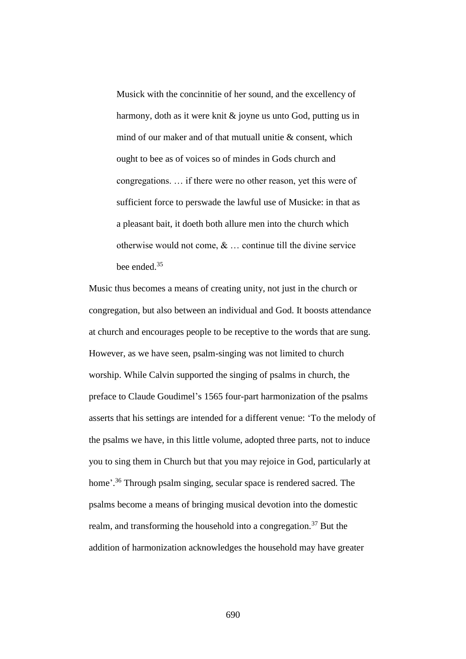Musick with the concinnitie of her sound, and the excellency of harmony, doth as it were knit & joyne us unto God, putting us in mind of our maker and of that mutuall unitie & consent, which ought to bee as of voices so of mindes in Gods church and congregations. … if there were no other reason, yet this were of sufficient force to perswade the lawful use of Musicke: in that as a pleasant bait, it doeth both allure men into the church which otherwise would not come,  $\&$   $\dots$  continue till the divine service bee ended.<sup>35</sup>

Music thus becomes a means of creating unity, not just in the church or congregation, but also between an individual and God. It boosts attendance at church and encourages people to be receptive to the words that are sung. However, as we have seen, psalm-singing was not limited to church worship. While Calvin supported the singing of psalms in church, the preface to Claude Goudimel's 1565 four-part harmonization of the psalms asserts that his settings are intended for a different venue: 'To the melody of the psalms we have, in this little volume, adopted three parts, not to induce you to sing them in Church but that you may rejoice in God, particularly at home'.<sup>36</sup> Through psalm singing, secular space is rendered sacred. The psalms become a means of bringing musical devotion into the domestic realm, and transforming the household into a congregation.<sup>37</sup> But the addition of harmonization acknowledges the household may have greater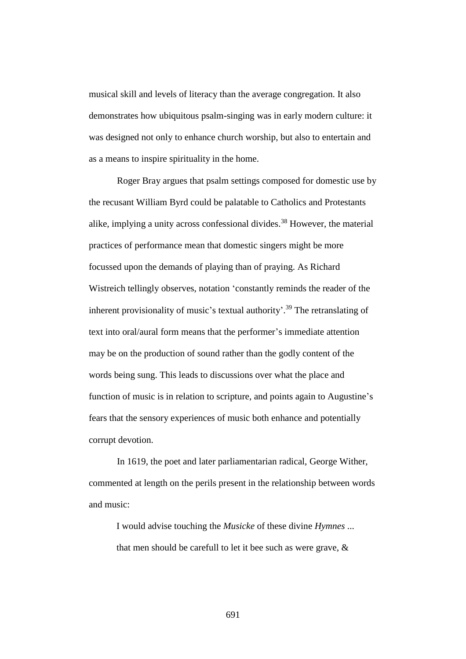musical skill and levels of literacy than the average congregation. It also demonstrates how ubiquitous psalm-singing was in early modern culture: it was designed not only to enhance church worship, but also to entertain and as a means to inspire spirituality in the home.

Roger Bray argues that psalm settings composed for domestic use by the recusant William Byrd could be palatable to Catholics and Protestants alike, implying a unity across confessional divides.<sup>38</sup> However, the material practices of performance mean that domestic singers might be more focussed upon the demands of playing than of praying. As Richard Wistreich tellingly observes, notation 'constantly reminds the reader of the inherent provisionality of music's textual authority'.<sup>39</sup> The retranslating of text into oral/aural form means that the performer's immediate attention may be on the production of sound rather than the godly content of the words being sung. This leads to discussions over what the place and function of music is in relation to scripture, and points again to Augustine's fears that the sensory experiences of music both enhance and potentially corrupt devotion.

In 1619, the poet and later parliamentarian radical, George Wither, commented at length on the perils present in the relationship between words and music:

I would advise touching the *Musicke* of these divine *Hymnes* ... that men should be carefull to let it bee such as were grave, &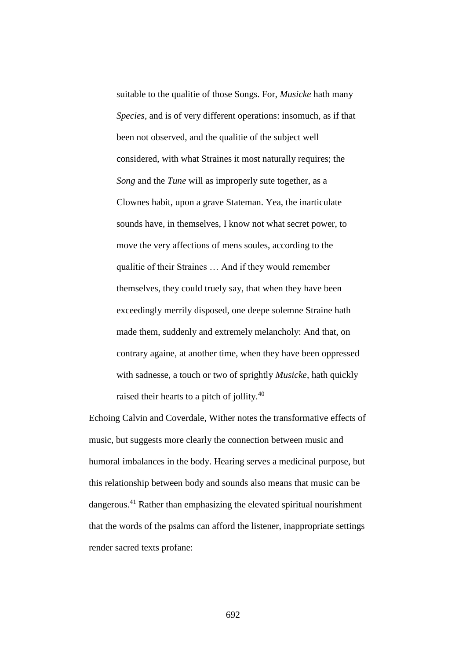suitable to the qualitie of those Songs. For, *Musicke* hath many *Species*, and is of very different operations: insomuch, as if that been not observed, and the qualitie of the subject well considered, with what Straines it most naturally requires; the *Song* and the *Tune* will as improperly sute together, as a Clownes habit, upon a grave Stateman. Yea, the inarticulate sounds have, in themselves, I know not what secret power, to move the very affections of mens soules, according to the qualitie of their Straines … And if they would remember themselves, they could truely say, that when they have been exceedingly merrily disposed, one deepe solemne Straine hath made them, suddenly and extremely melancholy: And that, on contrary againe, at another time, when they have been oppressed with sadnesse, a touch or two of sprightly *Musicke*, hath quickly raised their hearts to a pitch of jollity.<sup>40</sup>

Echoing Calvin and Coverdale, Wither notes the transformative effects of music, but suggests more clearly the connection between music and humoral imbalances in the body. Hearing serves a medicinal purpose, but this relationship between body and sounds also means that music can be dangerous.<sup>41</sup> Rather than emphasizing the elevated spiritual nourishment that the words of the psalms can afford the listener, inappropriate settings render sacred texts profane: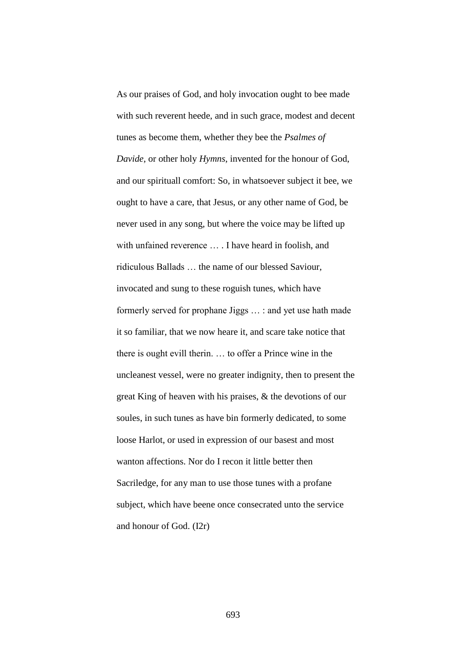As our praises of God, and holy invocation ought to bee made with such reverent heede, and in such grace, modest and decent tunes as become them, whether they bee the *Psalmes of Davide*, or other holy *Hymns*, invented for the honour of God, and our spirituall comfort: So, in whatsoever subject it bee, we ought to have a care, that Jesus, or any other name of God, be never used in any song, but where the voice may be lifted up with unfained reverence … . I have heard in foolish, and ridiculous Ballads … the name of our blessed Saviour, invocated and sung to these roguish tunes, which have formerly served for prophane Jiggs … : and yet use hath made it so familiar, that we now heare it, and scare take notice that there is ought evill therin. … to offer a Prince wine in the uncleanest vessel, were no greater indignity, then to present the great King of heaven with his praises, & the devotions of our soules, in such tunes as have bin formerly dedicated, to some loose Harlot, or used in expression of our basest and most wanton affections. Nor do I recon it little better then Sacriledge, for any man to use those tunes with a profane subject, which have beene once consecrated unto the service and honour of God. (I2r)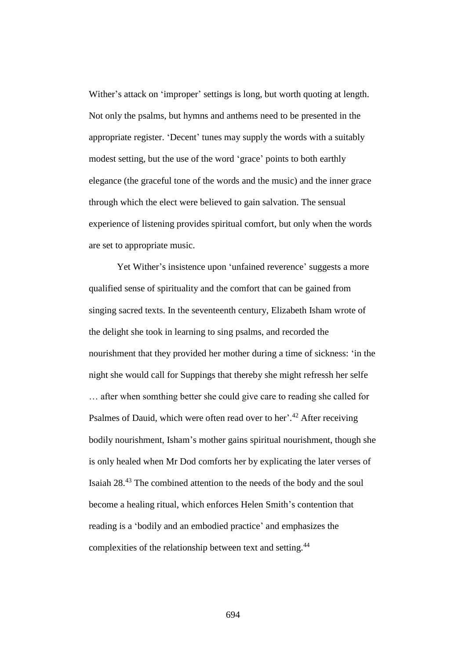Wither's attack on 'improper' settings is long, but worth quoting at length. Not only the psalms, but hymns and anthems need to be presented in the appropriate register. 'Decent' tunes may supply the words with a suitably modest setting, but the use of the word 'grace' points to both earthly elegance (the graceful tone of the words and the music) and the inner grace through which the elect were believed to gain salvation. The sensual experience of listening provides spiritual comfort, but only when the words are set to appropriate music.

Yet Wither's insistence upon 'unfained reverence' suggests a more qualified sense of spirituality and the comfort that can be gained from singing sacred texts. In the seventeenth century, Elizabeth Isham wrote of the delight she took in learning to sing psalms, and recorded the nourishment that they provided her mother during a time of sickness: 'in the night she would call for Suppings that thereby she might refressh her selfe … after when somthing better she could give care to reading she called for Psalmes of Dauid, which were often read over to her'.<sup>42</sup> After receiving bodily nourishment, Isham's mother gains spiritual nourishment, though she is only healed when Mr Dod comforts her by explicating the later verses of Isaiah 28.<sup>43</sup> The combined attention to the needs of the body and the soul become a healing ritual, which enforces Helen Smith's contention that reading is a 'bodily and an embodied practice' and emphasizes the complexities of the relationship between text and setting.<sup>44</sup>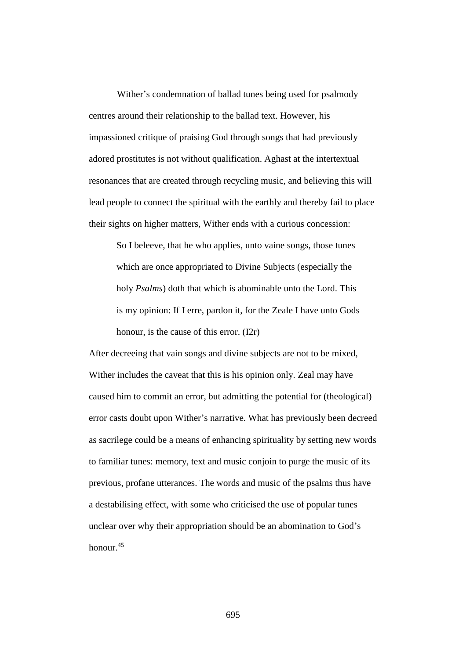Wither's condemnation of ballad tunes being used for psalmody centres around their relationship to the ballad text. However, his impassioned critique of praising God through songs that had previously adored prostitutes is not without qualification. Aghast at the intertextual resonances that are created through recycling music, and believing this will lead people to connect the spiritual with the earthly and thereby fail to place their sights on higher matters, Wither ends with a curious concession:

So I beleeve, that he who applies, unto vaine songs, those tunes which are once appropriated to Divine Subjects (especially the holy *Psalms*) doth that which is abominable unto the Lord. This is my opinion: If I erre, pardon it, for the Zeale I have unto Gods honour, is the cause of this error. (I2r)

After decreeing that vain songs and divine subjects are not to be mixed, Wither includes the caveat that this is his opinion only. Zeal may have caused him to commit an error, but admitting the potential for (theological) error casts doubt upon Wither's narrative. What has previously been decreed as sacrilege could be a means of enhancing spirituality by setting new words to familiar tunes: memory, text and music conjoin to purge the music of its previous, profane utterances. The words and music of the psalms thus have a destabilising effect, with some who criticised the use of popular tunes unclear over why their appropriation should be an abomination to God's honour.<sup>45</sup>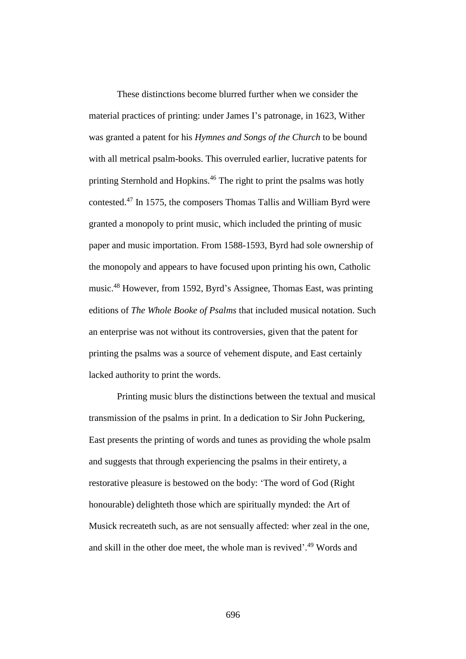These distinctions become blurred further when we consider the material practices of printing: under James I's patronage, in 1623, Wither was granted a patent for his *Hymnes and Songs of the Church* to be bound with all metrical psalm-books. This overruled earlier, lucrative patents for printing Sternhold and Hopkins.<sup>46</sup> The right to print the psalms was hotly contested.<sup>47</sup> In 1575, the composers Thomas Tallis and William Byrd were granted a monopoly to print music, which included the printing of music paper and music importation. From 1588-1593, Byrd had sole ownership of the monopoly and appears to have focused upon printing his own, Catholic music.<sup>48</sup> However, from 1592, Byrd's Assignee, Thomas East, was printing editions of *The Whole Booke of Psalms* that included musical notation. Such an enterprise was not without its controversies, given that the patent for printing the psalms was a source of vehement dispute, and East certainly lacked authority to print the words.

Printing music blurs the distinctions between the textual and musical transmission of the psalms in print. In a dedication to Sir John Puckering, East presents the printing of words and tunes as providing the whole psalm and suggests that through experiencing the psalms in their entirety, a restorative pleasure is bestowed on the body: 'The word of God (Right honourable) delighteth those which are spiritually mynded: the Art of Musick recreateth such, as are not sensually affected: wher zeal in the one, and skill in the other doe meet, the whole man is revived'. <sup>49</sup> Words and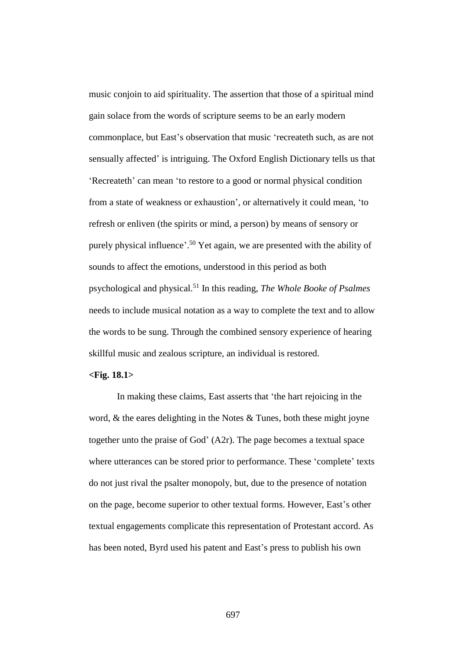music conjoin to aid spirituality. The assertion that those of a spiritual mind gain solace from the words of scripture seems to be an early modern commonplace, but East's observation that music 'recreateth such, as are not sensually affected' is intriguing. The Oxford English Dictionary tells us that 'Recreateth' can mean 'to restore to a good or normal physical condition from a state of weakness or exhaustion', or alternatively it could mean, 'to refresh or enliven (the spirits or mind, a person) by means of sensory or purely physical influence'.<sup>50</sup> Yet again, we are presented with the ability of sounds to affect the emotions, understood in this period as both psychological and physical.<sup>51</sup> In this reading, *The Whole Booke of Psalmes*  needs to include musical notation as a way to complete the text and to allow the words to be sung. Through the combined sensory experience of hearing skillful music and zealous scripture, an individual is restored.

## **<Fig. 18.1>**

In making these claims, East asserts that 'the hart rejoicing in the word,  $\&$  the eares delighting in the Notes  $\&$  Tunes, both these might joyne together unto the praise of God' (A2r). The page becomes a textual space where utterances can be stored prior to performance. These 'complete' texts do not just rival the psalter monopoly, but, due to the presence of notation on the page, become superior to other textual forms. However, East's other textual engagements complicate this representation of Protestant accord. As has been noted, Byrd used his patent and East's press to publish his own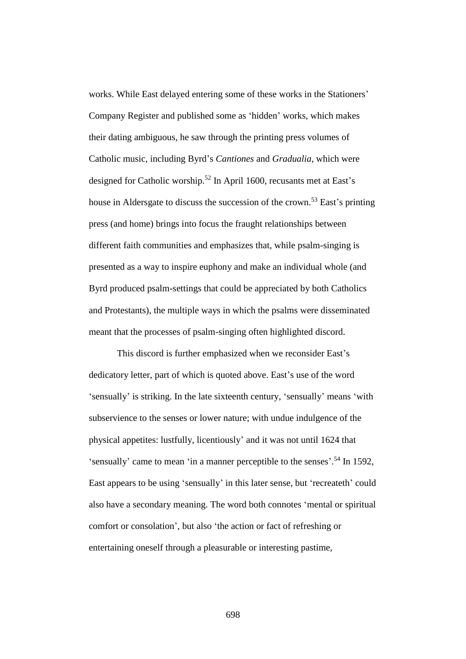works. While East delayed entering some of these works in the Stationers' Company Register and published some as 'hidden' works, which makes their dating ambiguous, he saw through the printing press volumes of Catholic music, including Byrd's *Cantiones* and *Gradualia*, which were designed for Catholic worship.<sup>52</sup> In April 1600, recusants met at East's house in Aldersgate to discuss the succession of the crown.<sup>53</sup> East's printing press (and home) brings into focus the fraught relationships between different faith communities and emphasizes that, while psalm-singing is presented as a way to inspire euphony and make an individual whole (and Byrd produced psalm-settings that could be appreciated by both Catholics and Protestants), the multiple ways in which the psalms were disseminated meant that the processes of psalm-singing often highlighted discord.

This discord is further emphasized when we reconsider East's dedicatory letter, part of which is quoted above. East's use of the word 'sensually' is striking. In the late sixteenth century, 'sensually' means 'with subservience to the senses or lower nature; with undue indulgence of the physical appetites: lustfully, licentiously' and it was not until 1624 that 'sensually' came to mean 'in a manner perceptible to the senses'. <sup>54</sup> In 1592, East appears to be using 'sensually' in this later sense, but 'recreateth' could also have a secondary meaning. The word both connotes 'mental or spiritual comfort or consolation', but also 'the action or fact of refreshing or entertaining oneself through a pleasurable or interesting pastime,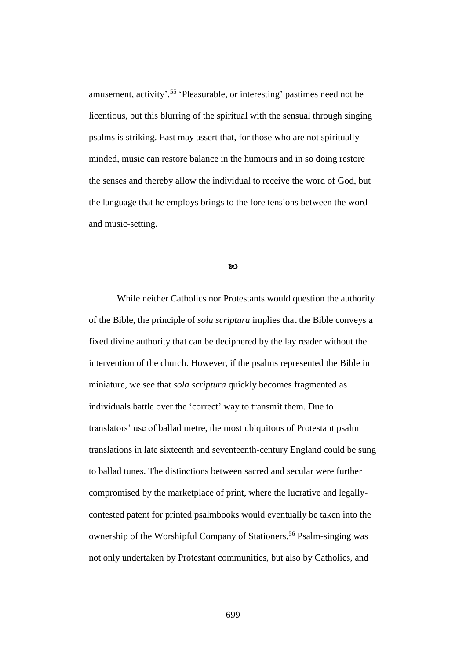amusement, activity'. 55 'Pleasurable, or interesting' pastimes need not be licentious, but this blurring of the spiritual with the sensual through singing psalms is striking. East may assert that, for those who are not spirituallyminded, music can restore balance in the humours and in so doing restore the senses and thereby allow the individual to receive the word of God, but the language that he employs brings to the fore tensions between the word and music-setting.

 $\infty$ 

While neither Catholics nor Protestants would question the authority of the Bible, the principle of *sola scriptura* implies that the Bible conveys a fixed divine authority that can be deciphered by the lay reader without the intervention of the church. However, if the psalms represented the Bible in miniature, we see that *sola scriptura* quickly becomes fragmented as individuals battle over the 'correct' way to transmit them. Due to translators' use of ballad metre, the most ubiquitous of Protestant psalm translations in late sixteenth and seventeenth-century England could be sung to ballad tunes. The distinctions between sacred and secular were further compromised by the marketplace of print, where the lucrative and legallycontested patent for printed psalmbooks would eventually be taken into the ownership of the Worshipful Company of Stationers.<sup>56</sup> Psalm-singing was not only undertaken by Protestant communities, but also by Catholics, and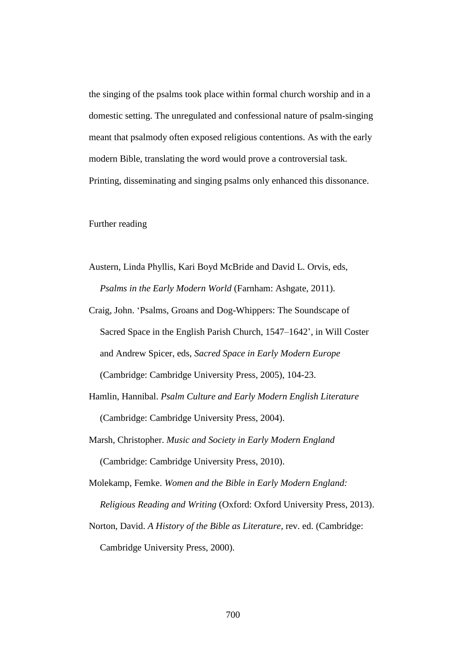the singing of the psalms took place within formal church worship and in a domestic setting. The unregulated and confessional nature of psalm-singing meant that psalmody often exposed religious contentions. As with the early modern Bible, translating the word would prove a controversial task. Printing, disseminating and singing psalms only enhanced this dissonance.

Further reading

- Austern, Linda Phyllis, Kari Boyd McBride and David L. Orvis, eds, *Psalms in the Early Modern World* (Farnham: Ashgate, 2011).
- Craig, John. 'Psalms, Groans and Dog-Whippers: The Soundscape of Sacred Space in the English Parish Church, 1547–1642', in Will Coster and Andrew Spicer, eds, *Sacred Space in Early Modern Europe* (Cambridge: Cambridge University Press, 2005), 104-23.
- Hamlin, Hannibal. *Psalm Culture and Early Modern English Literature* (Cambridge: Cambridge University Press, 2004).
- Marsh, Christopher. *Music and Society in Early Modern England*  (Cambridge: Cambridge University Press, 2010).

Molekamp, Femke. *Women and the Bible in Early Modern England:* 

*Religious Reading and Writing* (Oxford: Oxford University Press, 2013).

Norton, David. *A History of the Bible as Literature*, rev. ed. (Cambridge:

Cambridge University Press, 2000).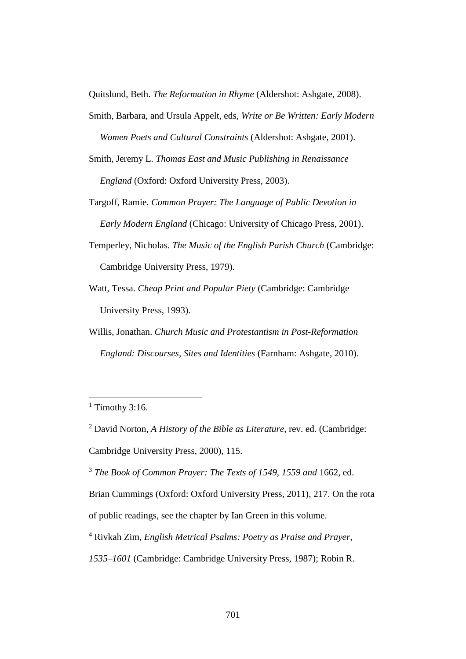Quitslund, Beth. *The Reformation in Rhyme* (Aldershot: Ashgate, 2008).

- Smith, Barbara, and Ursula Appelt, eds, *Write or Be Written: Early Modern Women Poets and Cultural Constraints* (Aldershot: Ashgate, 2001).
- Smith, Jeremy L. *Thomas East and Music Publishing in Renaissance England* (Oxford: Oxford University Press, 2003).
- Targoff, Ramie. *Common Prayer: The Language of Public Devotion in Early Modern England* (Chicago: University of Chicago Press, 2001).
- Temperley, Nicholas. *The Music of the English Parish Church* (Cambridge: Cambridge University Press, 1979).
- Watt, Tessa. *Cheap Print and Popular Piety* (Cambridge: Cambridge University Press, 1993).
- Willis, Jonathan. *Church Music and Protestantism in Post-Reformation England: Discourses, Sites and Identities* (Farnham: Ashgate, 2010).

 $\overline{a}$ 

<sup>2</sup> David Norton, *A History of the Bible as Literature*, rev. ed. (Cambridge:

Cambridge University Press, 2000), 115.

<sup>3</sup> *The Book of Common Prayer: The Texts of 1549, 1559 and* 1662, ed.

Brian Cummings (Oxford: Oxford University Press, 2011), 217. On the rota

of public readings, see the chapter by Ian Green in this volume.

<sup>4</sup> Rivkah Zim, *English Metrical Psalms: Poetry as Praise and Prayer,* 

 $1$  Timothy 3:16.

*<sup>1535–1601</sup>* (Cambridge: Cambridge University Press, 1987); Robin R.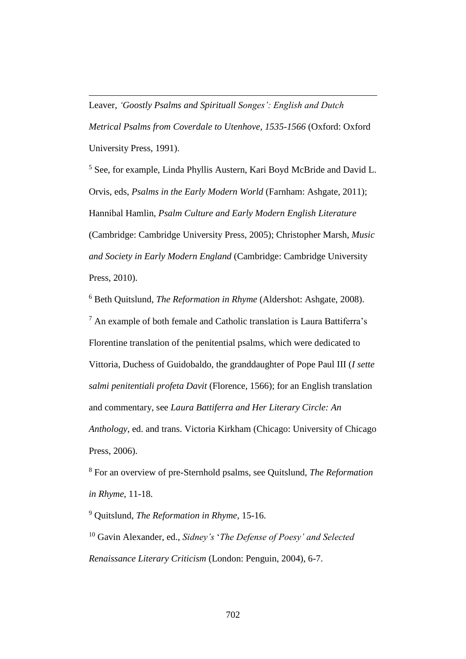Leaver, *'Goostly Psalms and Spirituall Songes': English and Dutch Metrical Psalms from Coverdale to Utenhove, 1535-1566* (Oxford: Oxford University Press, 1991).

 $\overline{a}$ 

<sup>5</sup> See, for example, Linda Phyllis Austern, Kari Boyd McBride and David L. Orvis, eds, *Psalms in the Early Modern World* (Farnham: Ashgate, 2011); Hannibal Hamlin, *Psalm Culture and Early Modern English Literature* (Cambridge: Cambridge University Press, 2005); Christopher Marsh, *Music and Society in Early Modern England* (Cambridge: Cambridge University Press, 2010).

<sup>6</sup> Beth Quitslund, *The Reformation in Rhyme* (Aldershot: Ashgate, 2008).  $<sup>7</sup>$  An example of both female and Catholic translation is Laura Battiferra's</sup> Florentine translation of the penitential psalms, which were dedicated to Vittoria, Duchess of Guidobaldo, the granddaughter of Pope Paul III (*I sette salmi penitentiali profeta Davit* (Florence, 1566); for an English translation and commentary, see *Laura Battiferra and Her Literary Circle: An Anthology*, ed. and trans. Victoria Kirkham (Chicago: University of Chicago Press, 2006).

<sup>8</sup> For an overview of pre-Sternhold psalms, see Quitslund, *The Reformation in Rhyme*, 11-18.

<sup>9</sup> Quitslund, *The Reformation in Rhyme*, 15-16. <sup>10</sup> Gavin Alexander, ed., *Sidney's* '*The Defense of Poesy' and Selected Renaissance Literary Criticism* (London: Penguin, 2004), 6-7.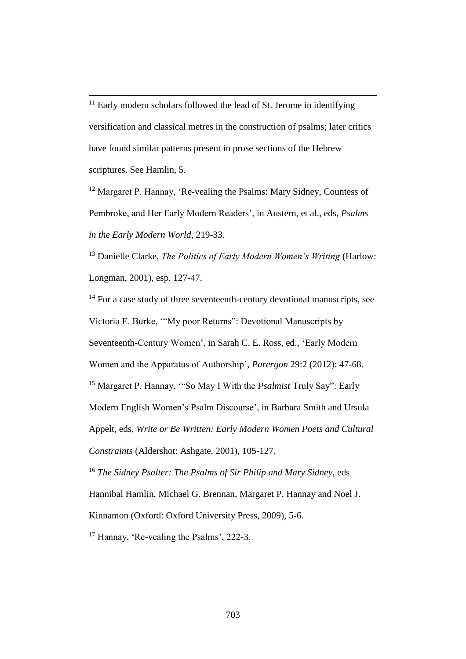$\overline{a}$  $11$  Early modern scholars followed the lead of St. Jerome in identifying versification and classical metres in the construction of psalms; later critics have found similar patterns present in prose sections of the Hebrew scriptures. See Hamlin, 5.

<sup>12</sup> Margaret P. Hannay, 'Re-vealing the Psalms: Mary Sidney, Countess of Pembroke, and Her Early Modern Readers', in Austern, et al., eds, *Psalms in the Early Modern World*, 219-33.

<sup>13</sup> Danielle Clarke, *The Politics of Early Modern Women's Writing* (Harlow: Longman, 2001), esp. 127-47.

 $14$  For a case study of three seventeenth-century devotional manuscripts, see Victoria E. Burke, '"My poor Returns": Devotional Manuscripts by Seventeenth-Century Women', in Sarah C. E. Ross, ed., 'Early Modern Women and the Apparatus of Authorship', *Parergon* 29:2 (2012): 47-68. <sup>15</sup> Margaret P. Hannay, '"So May I With the *Psalmist* Truly Say": Early Modern English Women's Psalm Discourse', in Barbara Smith and Ursula Appelt, eds, *Write or Be Written: Early Modern Women Poets and Cultural Constraints* (Aldershot: Ashgate, 2001), 105-127. <sup>16</sup> *The Sidney Psalter: The Psalms of Sir Philip and Mary Sidney*, eds

Hannibal Hamlin, Michael G. Brennan, Margaret P. Hannay and Noel J.

Kinnamon (Oxford: Oxford University Press, 2009), 5-6.

<sup>17</sup> Hannay, 'Re-vealing the Psalms', 222-3.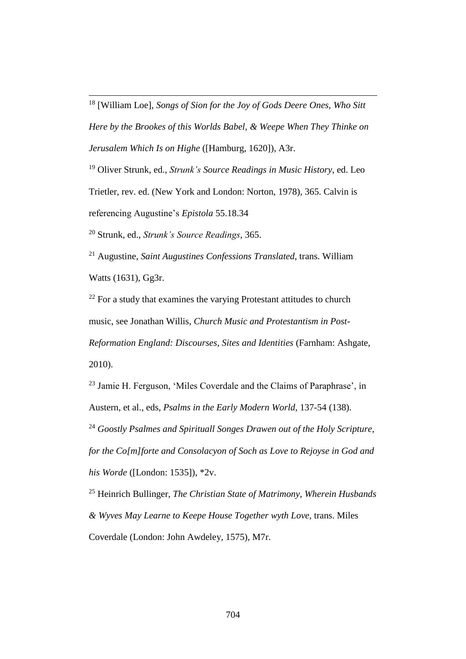<sup>18</sup> [William Loe], *Songs of Sion for the Joy of Gods Deere Ones, Who Sitt Here by the Brookes of this Worlds Babel, & Weepe When They Thinke on Jerusalem Which Is on Highe* ([Hamburg, 1620]), A3r.

<sup>19</sup> Oliver Strunk, ed., *Strunk's Source Readings in Music History*, ed. Leo Trietler, rev. ed. (New York and London: Norton, 1978), 365. Calvin is referencing Augustine's *Epistola* 55.18.34

<sup>20</sup> Strunk, ed., *Strunk's Source Readings*, 365.

 $\overline{a}$ 

<sup>21</sup> Augustine, *Saint Augustines Confessions Translated*, trans. William Watts (1631), Gg3r.

 $22$  For a study that examines the varying Protestant attitudes to church music, see Jonathan Willis, *Church Music and Protestantism in Post-Reformation England: Discourses, Sites and Identities* (Farnham: Ashgate, 2010).

<sup>23</sup> Jamie H. Ferguson, 'Miles Coverdale and the Claims of Paraphrase', in Austern, et al., eds, *Psalms in the Early Modern World*, 137-54 (138).

<sup>24</sup> *Goostly Psalmes and Spirituall Songes Drawen out of the Holy Scripture, for the Co[m]forte and Consolacyon of Soch as Love to Rejoyse in God and his Worde* ([London: 1535]), \*2v.

<sup>25</sup> Heinrich Bullinger, *The Christian State of Matrimony, Wherein Husbands & Wyves May Learne to Keepe House Together wyth Love*, trans. Miles Coverdale (London: John Awdeley, 1575), M7r.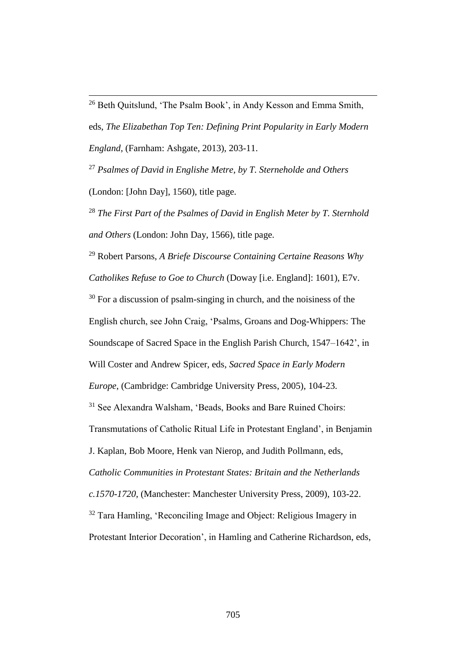$\overline{a}$ <sup>26</sup> Beth Quitslund, 'The Psalm Book', in Andy Kesson and Emma Smith, eds, *The Elizabethan Top Ten: Defining Print Popularity in Early Modern England*, (Farnham: Ashgate, 2013), 203-11.

<sup>27</sup> *Psalmes of David in Englishe Metre, by T. Sterneholde and Others*  (London: [John Day], 1560), title page.

<sup>28</sup> *The First Part of the Psalmes of David in English Meter by T. Sternhold and Others* (London: John Day, 1566), title page.

<sup>29</sup> Robert Parsons, *A Briefe Discourse Containing Certaine Reasons Why Catholikes Refuse to Goe to Church* (Doway [i.e. England]: 1601), E7v.

 $30$  For a discussion of psalm-singing in church, and the noisiness of the English church, see John Craig, 'Psalms, Groans and Dog-Whippers: The

Soundscape of Sacred Space in the English Parish Church, 1547–1642', in

Will Coster and Andrew Spicer, eds, *Sacred Space in Early Modern* 

*Europe*, (Cambridge: Cambridge University Press, 2005), 104-23.

<sup>31</sup> See Alexandra Walsham, 'Beads, Books and Bare Ruined Choirs:

Transmutations of Catholic Ritual Life in Protestant England', in Benjamin

J. Kaplan, Bob Moore, Henk van Nierop, and Judith Pollmann, eds,

*Catholic Communities in Protestant States: Britain and the Netherlands* 

*c.1570-1720*, (Manchester: Manchester University Press, 2009), 103-22.

<sup>32</sup> Tara Hamling, 'Reconciling Image and Object: Religious Imagery in

Protestant Interior Decoration', in Hamling and Catherine Richardson, eds,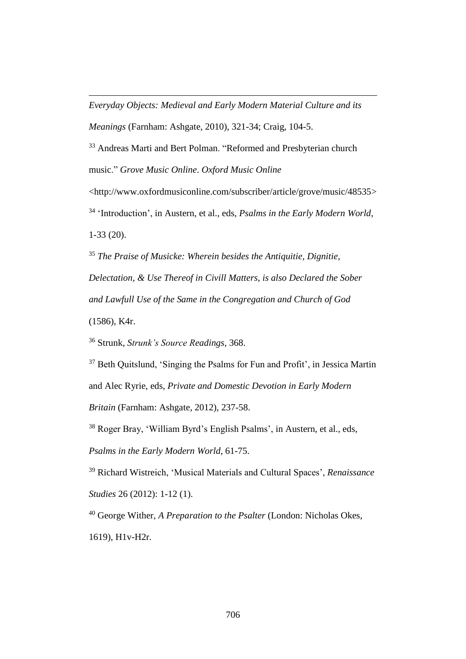*Everyday Objects: Medieval and Early Modern Material Culture and its Meanings* (Farnham: Ashgate, 2010), 321-34; Craig, 104-5.

<sup>33</sup> Andreas Marti and Bert Polman. "Reformed and Presbyterian church music." *Grove Music Online*. *Oxford Music Online*

<http://www.oxfordmusiconline.com/subscriber/article/grove/music/48535> <sup>34</sup> 'Introduction', in Austern, et al., eds, *Psalms in the Early Modern World*, 1-33 (20).

<sup>35</sup> *The Praise of Musicke: Wherein besides the Antiquitie, Dignitie, Delectation, & Use Thereof in Civill Matters, is also Declared the Sober and Lawfull Use of the Same in the Congregation and Church of God* (1586), K4r.

<sup>36</sup> Strunk, *Strunk's Source Readings*, 368.

 $\overline{a}$ 

<sup>37</sup> Beth Quitslund, 'Singing the Psalms for Fun and Profit', in Jessica Martin and Alec Ryrie, eds, *Private and Domestic Devotion in Early Modern* 

*Britain* (Farnham: Ashgate, 2012), 237-58.

<sup>38</sup> Roger Bray, 'William Byrd's English Psalms', in Austern, et al., eds,

*Psalms in the Early Modern World*, 61-75.

<sup>39</sup> Richard Wistreich, 'Musical Materials and Cultural Spaces', *Renaissance Studies* 26 (2012): 1-12 (1).

<sup>40</sup> George Wither, *A Preparation to the Psalter* (London: Nicholas Okes, 1619), H1v-H2r.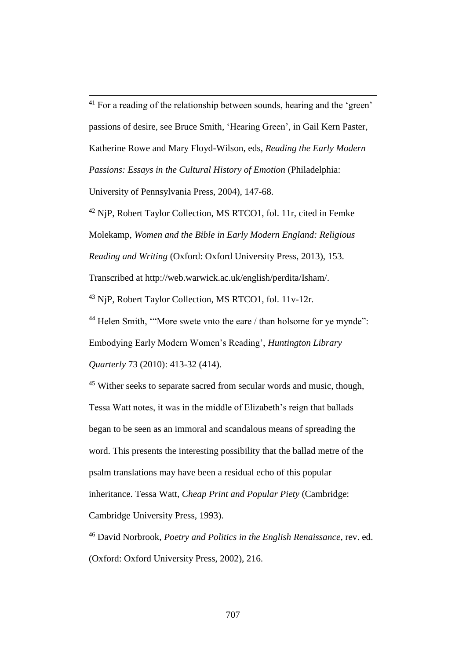$\overline{a}$  $41$  For a reading of the relationship between sounds, hearing and the 'green' passions of desire, see Bruce Smith, 'Hearing Green', in Gail Kern Paster, Katherine Rowe and Mary Floyd-Wilson, eds, *Reading the Early Modern Passions: Essays in the Cultural History of Emotion (Philadelphia:* 

University of Pennsylvania Press, 2004), 147-68.

<sup>42</sup> NjP, Robert Taylor Collection, MS RTCO1, fol. 11r, cited in Femke Molekamp, *Women and the Bible in Early Modern England: Religious Reading and Writing* (Oxford: Oxford University Press, 2013), 153. Transcribed at http://web.warwick.ac.uk/english/perdita/Isham/.

<sup>43</sup> NjP, Robert Taylor Collection, MS RTCO1, fol. 11v-12r.

<sup>44</sup> Helen Smith, "More swete vnto the eare / than holsome for ye mynde": Embodying Early Modern Women's Reading', *Huntington Library Quarterly* 73 (2010): 413-32 (414).

<sup>45</sup> Wither seeks to separate sacred from secular words and music, though, Tessa Watt notes, it was in the middle of Elizabeth's reign that ballads began to be seen as an immoral and scandalous means of spreading the word. This presents the interesting possibility that the ballad metre of the psalm translations may have been a residual echo of this popular inheritance. Tessa Watt, *Cheap Print and Popular Piety* (Cambridge: Cambridge University Press, 1993).

<sup>46</sup> David Norbrook, *Poetry and Politics in the English Renaissance*, rev. ed. (Oxford: Oxford University Press, 2002), 216.